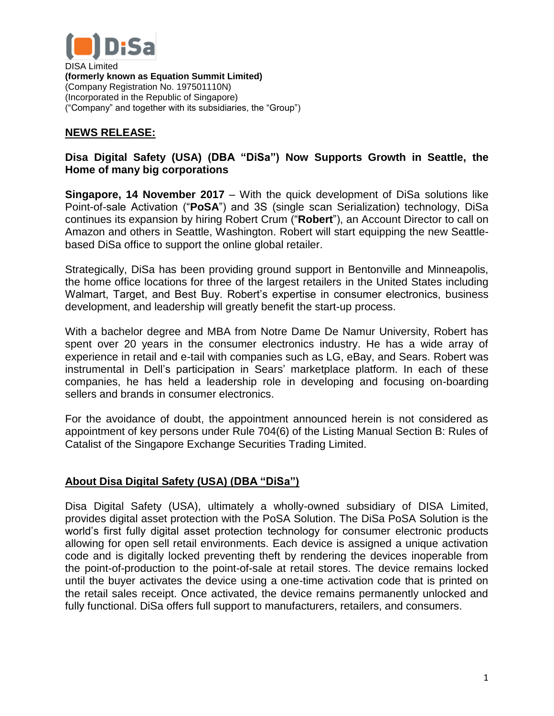

DISA Limited **(formerly known as Equation Summit Limited)** (Company Registration No. 197501110N) (Incorporated in the Republic of Singapore) ("Company" and together with its subsidiaries, the "Group")

## **NEWS RELEASE:**

## **Disa Digital Safety (USA) (DBA "DiSa") Now Supports Growth in Seattle, the Home of many big corporations**

**Singapore, 14 November 2017** – With the quick development of DiSa solutions like Point-of-sale Activation ("**PoSA**") and 3S (single scan Serialization) technology, DiSa continues its expansion by hiring Robert Crum ("**Robert**"), an Account Director to call on Amazon and others in Seattle, Washington. Robert will start equipping the new Seattlebased DiSa office to support the online global retailer.

Strategically, DiSa has been providing ground support in Bentonville and Minneapolis, the home office locations for three of the largest retailers in the United States including Walmart, Target, and Best Buy. Robert's expertise in consumer electronics, business development, and leadership will greatly benefit the start-up process.

With a bachelor degree and MBA from Notre Dame De Namur University, Robert has spent over 20 years in the consumer electronics industry. He has a wide array of experience in retail and e-tail with companies such as LG, eBay, and Sears. Robert was instrumental in Dell's participation in Sears' marketplace platform. In each of these companies, he has held a leadership role in developing and focusing on-boarding sellers and brands in consumer electronics.

For the avoidance of doubt, the appointment announced herein is not considered as appointment of key persons under Rule 704(6) of the Listing Manual Section B: Rules of Catalist of the Singapore Exchange Securities Trading Limited.

## **About Disa Digital Safety (USA) (DBA "DiSa")**

Disa Digital Safety (USA), ultimately a wholly-owned subsidiary of DISA Limited, provides digital asset protection with the PoSA Solution. The DiSa PoSA Solution is the world's first fully digital asset protection technology for consumer electronic products allowing for open sell retail environments. Each device is assigned a unique activation code and is digitally locked preventing theft by rendering the devices inoperable from the point-of-production to the point-of-sale at retail stores. The device remains locked until the buyer activates the device using a one-time activation code that is printed on the retail sales receipt. Once activated, the device remains permanently unlocked and fully functional. DiSa offers full support to manufacturers, retailers, and consumers.